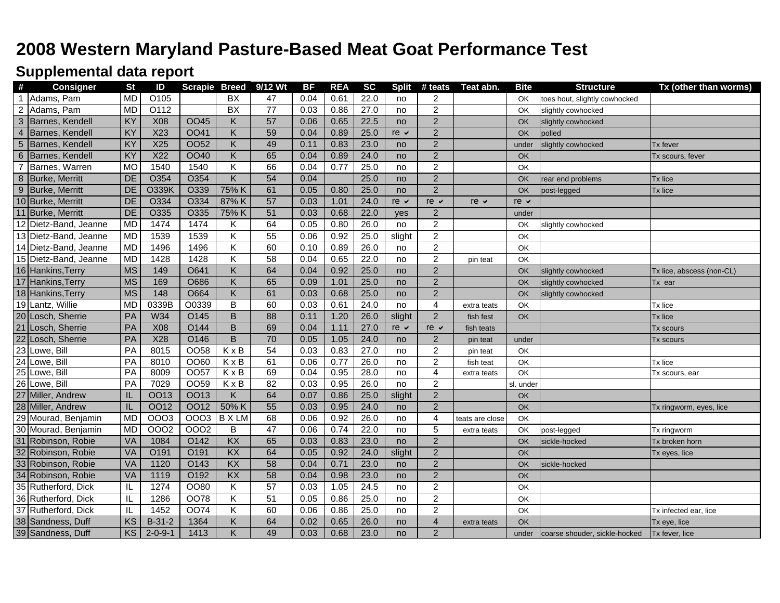## **2008 Western Maryland Pasture-Based Meat Goat Performance Test**

## **Supplemental data report**

| #                | <b>Consigner</b>      | <b>St</b>       | ID                | <b>Scrapie Breed</b> |                         | 9/12 Wt         | <b>BF</b> | <b>REA</b> | <b>SC</b> | <b>Split</b>      | # teats                 | Teat abn.       | <b>Bite</b>     | <b>Structure</b>              | Tx (other than worms)     |
|------------------|-----------------------|-----------------|-------------------|----------------------|-------------------------|-----------------|-----------|------------|-----------|-------------------|-------------------------|-----------------|-----------------|-------------------------------|---------------------------|
| $\mathbf 1$      | Adams, Pam            | <b>MD</b>       | O <sub>105</sub>  |                      | <b>BX</b>               | 47              | 0.04      | 0.61       | 22.0      | no                | $\overline{c}$          |                 | OK              | toes hout, slightly cowhocked |                           |
| $\overline{2}$   | Adams, Pam            | <b>MD</b>       | $\overline{O112}$ |                      | $\overline{BX}$         | $\overline{77}$ | 0.03      | 0.86       | 27.0      | no                | $\overline{2}$          |                 | OK              | slightly cowhocked            |                           |
| 3                | Barnes, Kendell       | KY              | X08               | <b>OO45</b>          | Κ                       | 57              | 0.06      | 0.65       | 22.5      | no                | $\overline{2}$          |                 | OK              | slightly cowhocked            |                           |
| $\overline{4}$   | Barnes, Kendell       | KY              | X23               | <b>OO41</b>          | Κ                       | 59              | 0.04      | 0.89       | 25.0      | $re \vee$         | $\overline{2}$          |                 | OK              | polled                        |                           |
| 5                | Barnes, Kendell       | KY              | X25               | 0052                 | K.                      | 49              | 0.11      | 0.83       | 23.0      | no                | $\sqrt{2}$              |                 | under           | slightly cowhocked            | <b>Tx fever</b>           |
| 6                | Barnes, Kendell       | KY              | X22               | <b>OO40</b>          | K.                      | 65              | 0.04      | 0.89       | 24.0      | no                | $\overline{2}$          |                 | OK              |                               | Tx scours, fever          |
| $\overline{7}$   | Barnes, Warren        | <b>MO</b>       | 1540              | 1540                 | Κ                       | 66              | 0.04      | 0.77       | 25.0      | no                | $\overline{c}$          |                 | OK              |                               |                           |
| $\boldsymbol{8}$ | Burke, Merritt        | DE              | O354              | O354                 | $\overline{\mathsf{K}}$ | 54              | 0.04      |            | 25.0      | no                | $\overline{2}$          |                 | <b>OK</b>       | rear end problems             | Tx lice                   |
| $9\,$            | Burke, Merritt        | DE              | <b>O339K</b>      | O339                 | 75% K                   | 61              | 0.05      | 0.80       | 25.0      | no                | $\overline{2}$          |                 | OK              | post-legged                   | Tx lice                   |
|                  | 10 Burke, Merritt     | DE              | O334              | O334                 | 87% K                   | 57              | 0.03      | 1.01       | 24.0      | re $\checkmark$   | $re$ $\sim$             | re $\vee$       | re $\vee$       |                               |                           |
|                  | 11 Burke, Merritt     | DE              | O335              | O335                 | 75% K                   | 51              | 0.03      | 0.68       | 22.0      | yes               | $\overline{2}$          |                 | under           |                               |                           |
|                  | 12 Dietz-Band, Jeanne | <b>MD</b>       | 1474              | 1474                 | Κ                       | 64              | 0.05      | 0.80       | 26.0      | no                | $\boldsymbol{2}$        |                 | OK              | slightly cowhocked            |                           |
|                  | 13 Dietz-Band, Jeanne | <b>MD</b>       | 1539              | 1539                 | Κ                       | 55              | 0.06      | 0.92       | 25.0      | slight            | $\boldsymbol{2}$        |                 | OK              |                               |                           |
| 14               | Dietz-Band, Jeanne    | <b>MD</b>       | 1496              | 1496                 | Κ                       | 60              | 0.10      | 0.89       | 26.0      | no                | $\sqrt{2}$              |                 | OK              |                               |                           |
|                  | 15 Dietz-Band, Jeanne | <b>MD</b>       | 1428              | 1428                 | Κ                       | 58              | 0.04      | 0.65       | 22.0      | no                | $\boldsymbol{2}$        | pin teat        | OK              |                               |                           |
|                  | 16 Hankins, Terry     | <b>MS</b>       | 149               | O641                 | Κ                       | 64              | 0.04      | 0.92       | 25.0      | no                | $\overline{2}$          |                 | <b>OK</b>       | slightly cowhocked            | Tx lice, abscess (non-CL) |
|                  | 17 Hankins, Terry     | <b>MS</b>       | 169               | O686                 | K                       | 65              | 0.09      | 1.01       | 25.0      | no                | $\sqrt{2}$              |                 | OK              | slightly cowhocked            | Tx ear                    |
|                  | 18 Hankins, Terry     | <b>MS</b>       | 148               | O664                 | K                       | 61              | 0.03      | 0.68       | 25.0      | no                | $\overline{2}$          |                 | OK              | slightly cowhocked            |                           |
|                  | 19 Lantz, Willie      | <b>MD</b>       | 0339B             | O0339                | B                       | 60              | 0.03      | 0.61       | 24.0      | no                | $\overline{\mathbf{4}}$ | extra teats     | OK              |                               | Tx lice                   |
|                  | 20 Losch, Sherrie     | PA              | W34               | O145                 | B                       | $\overline{88}$ | 0.11      | 1.20       | 26.0      | slight            | $\overline{2}$          | fish fest       | OK              |                               | Tx lice                   |
| 21               | Losch, Sherrie        | PA              | X08               | O144                 | B                       | 69              | 0.04      | 1.11       | 27.0      | $re$ $\checkmark$ | $re$ $\checkmark$       | fish teats      |                 |                               | Tx scours                 |
| 22               | Losch, Sherrie        | PA              | X28               | O146                 | $\overline{B}$          | 70              | 0.05      | 1.05       | 24.0      | no                | $\sqrt{2}$              | pin teat        | under           |                               | Tx scours                 |
|                  | 23 Lowe, Bill         | $\overline{PA}$ | 8015              | <b>OO58</b>          | KxB                     | 54              | 0.03      | 0.83       | 27.0      | no                | $\overline{c}$          | pin teat        | OK              |                               |                           |
|                  | 24 Lowe, Bill         | $\overline{PA}$ | 8010              | OO60                 | $K \times B$            | 61              | 0.06      | 0.77       | 26.0      | no                | $\overline{2}$          | fish teat       | OK              |                               | Tx lice                   |
|                  | 25 Lowe, Bill         | PA              | 8009              | OO <sub>57</sub>     | $K \times B$            | 69              | 0.04      | 0.95       | 28.0      | no                | $\overline{4}$          | extra teats     | $\overline{OK}$ |                               | Tx scours, ear            |
|                  | 26 Lowe, Bill         | PA              | 7029              | OO59                 | KxB                     | 82              | 0.03      | 0.95       | 26.0      | no                | $\overline{c}$          |                 | sl. under       |                               |                           |
|                  | 27 Miller, Andrew     | IL              | <b>OO13</b>       | <b>OO13</b>          | K                       | 64              | 0.07      | 0.86       | 25.0      | slight            | $\overline{2}$          |                 | <b>OK</b>       |                               |                           |
|                  | 28 Miller, Andrew     | IL              | <b>OO12</b>       | <b>OO12</b>          | 50% K                   | 55              | 0.03      | 0.95       | 24.0      | no                | $\overline{2}$          |                 | <b>OK</b>       |                               | Tx ringworm, eyes, lice   |
|                  | 29 Mourad, Benjamin   | <b>MD</b>       | <b>OOO3</b>       | 0003                 | <b>BXLM</b>             | 68              | 0.06      | 0.92       | 26.0      | no                | $\overline{4}$          | teats are close | OK              |                               |                           |
|                  | 30 Mourad, Benjamin   | <b>MD</b>       | <b>OOO2</b>       | 0002                 | В                       | $\overline{47}$ | 0.06      | 0.74       | 22.0      | no                | 5                       | extra teats     | OK              | post-legged                   | Tx ringworm               |
|                  | 31 Robinson, Robie    | VA              | 1084              | O142                 | $\overline{KX}$         | 65              | 0.03      | 0.83       | 23.0      | no                | $\overline{2}$          |                 | <b>OK</b>       | sickle-hocked                 | Tx broken horn            |
|                  | 32 Robinson, Robie    | VA              | O191              | O191                 | $\overline{KX}$         | 64              | 0.05      | 0.92       | 24.0      | slight            | $\overline{2}$          |                 | <b>OK</b>       |                               | Tx eyes, lice             |
|                  | 33 Robinson, Robie    | VA              | 1120              | O143                 | $\overline{KX}$         | 58              | 0.04      | 0.71       | 23.0      | no                | $\overline{2}$          |                 | OK              | sickle-hocked                 |                           |
|                  | 34 Robinson, Robie    | VA              | 1119              | O192                 | $\overline{KX}$         | 58              | 0.04      | 0.98       | 23.0      | no                | $\overline{2}$          |                 | <b>OK</b>       |                               |                           |
|                  | 35 Rutherford, Dick   | IL              | 1274              | OO80                 | Κ                       | 57              | 0.03      | 1.05       | 24.5      | no                | $\overline{\mathbf{c}}$ |                 | OK              |                               |                           |
|                  | 36 Rutherford, Dick   | IL              | 1286              | <b>OO78</b>          | Κ                       | 51              | 0.05      | 0.86       | 25.0      | no                | $\sqrt{2}$              |                 | OK              |                               |                           |
|                  | 37 Rutherford, Dick   | IL              | 1452              | <b>OO74</b>          | Κ                       | 60              | 0.06      | 0.86       | 25.0      | no                | $\overline{c}$          |                 | OK              |                               | Tx infected ear, lice     |
|                  | 38 Sandness, Duff     | KS              | $B-31-2$          | 1364                 | Κ                       | 64              | 0.02      | 0.65       | 26.0      | no                | $\sqrt{4}$              | extra teats     | OK              |                               | Tx eye, lice              |
|                  | 39 Sandness, Duff     | KS              | $2 - 0 - 9 - 1$   | 1413                 | K                       | 49              | 0.03      | 0.68       | 23.0      | no                | $\overline{2}$          |                 | under           | coarse shouder, sickle-hocked | Tx fever, lice            |